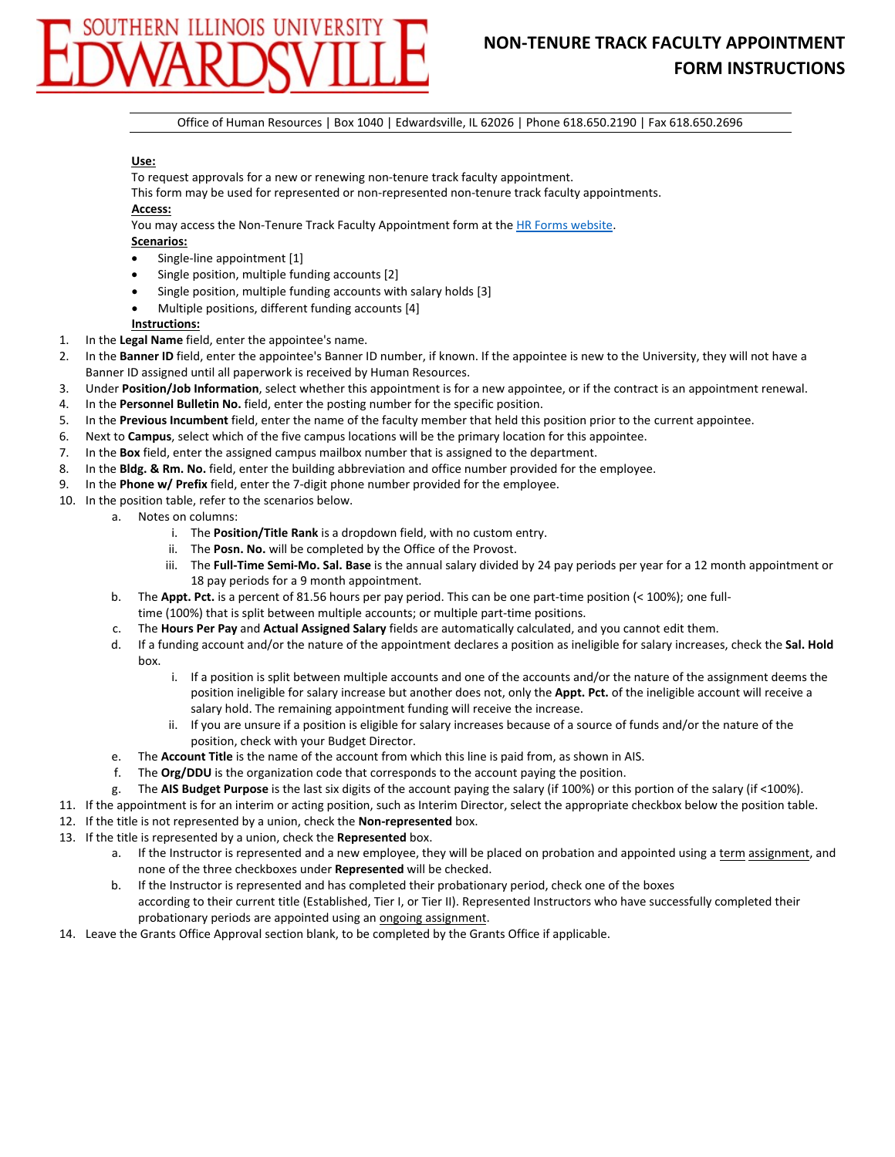## THERN ILLINOIS UNIVERSIT

## **NON‐TENURE TRACK FACULTY APPOINTMENT FORM INSTRUCTIONS**

Office of Human Resources | Box 1040 | Edwardsville, IL 62026 | Phone 618.650.2190 | Fax 618.650.2696

## **Use:**

To request approvals for a new or renewing non‐tenure track faculty appointment.

This form may be used for represented or non-represented non-tenure track faculty appointments. **Access:**

You may access the Non-Tenure Track Faculty Appointment form at the HR Forms website.

- **Scenarios:**
- Single‐line appointment [1]
- Single position, multiple funding accounts [2]
- Single position, multiple funding accounts with salary holds [3]
- Multiple positions, different funding accounts [4]

**Instructions:**

- 1. In the **Legal Name** field, enter the appointee's name.
- 2. In the **Banner ID** field, enter the appointee's Banner ID number, if known. If the appointee is new to the University, they will not have a Banner ID assigned until all paperwork is received by Human Resources.
- 3. Under **Position/Job Information**, select whether this appointment is for a new appointee, or if the contract is an appointment renewal.
- 4. In the **Personnel Bulletin No.** field, enter the posting number for the specific position.
- 5. In the **Previous Incumbent** field, enter the name of the faculty member that held this position prior to the current appointee.
- 6. Next to **Campus**, select which of the five campus locations will be the primary location for this appointee.
- 7. In the **Box** field, enter the assigned campus mailbox number that is assigned to the department.
- 8. In the **Bldg. & Rm. No.** field, enter the building abbreviation and office number provided for the employee.
- 9. In the **Phone w/ Prefix** field, enter the 7‐digit phone number provided for the employee.
- 10. In the position table, refer to the scenarios below.
	- a. Notes on columns:
		- i. The **Position/Title Rank** is a dropdown field, with no custom entry.
		- ii. The **Posn. No.** will be completed by the Office of the Provost.
		- iii. The **Full‐Time Semi‐Mo. Sal. Base** is the annual salary divided by 24 pay periods per year for a 12 month appointment or 18 pay periods for a 9 month appointment.
	- b. The **Appt. Pct.** is a percent of 81.56 hours per pay period. This can be one part‐time position (< 100%); one full‐
	- time (100%) that is split between multiple accounts; or multiple part-time positions. c. The **Hours Per Pay** and **Actual Assigned Salary** fields are automatically calculated, and you cannot edit them.
	- d. If a funding account and/or the nature of the appointment declares a position as ineligible for salary increases, check the **Sal. Hold** box.
		- i. If a position is split between multiple accounts and one of the accounts and/or the nature of the assignment deems the position ineligible for salary increase but another does not, only the **Appt. Pct.** of the ineligible account will receive a salary hold. The remaining appointment funding will receive the increase.
		- ii. If you are unsure if a position is eligible for salary increases because of a source of funds and/or the nature of the position, check with your Budget Director.
	- e. The **Account Title** is the name of the account from which this line is paid from, as shown in AIS.
	- f. The **Org/DDU** is the organization code that corresponds to the account paying the position.
	- g. The **AIS Budget Purpose** is the last six digits of the account paying the salary (if 100%) or this portion of the salary (if <100%).
- 11. If the appointment is for an interim or acting position, such as Interim Director, select the appropriate checkbox below the position table.
- 12. If the title is not represented by a union, check the **Non-represented** box.
- 13. If the title is represented by a union, check the **Represented** box.
	- a. If the Instructor is represented and a new employee, they will be placed on probation and appointed using a term assignment, and none of the three checkboxes under **Represented** will be checked.
	- b. If the Instructor is represented and has completed their probationary period, check one of the boxes according to their current title (Established, Tier I, or Tier II). Represented Instructors who have successfully completed their probationary periods are appointed using an ongoing assignment.
- 14. Leave the Grants Office Approval section blank, to be completed by the Grants Office if applicable.